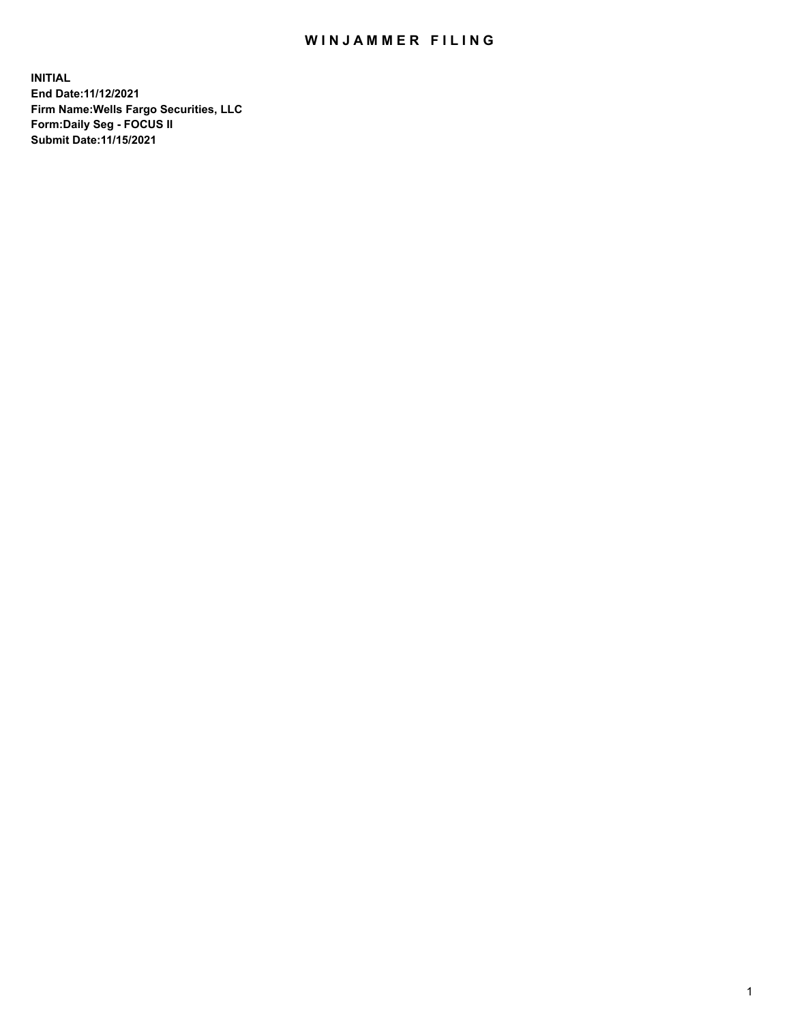## WIN JAMMER FILING

**INITIAL End Date:11/12/2021 Firm Name:Wells Fargo Securities, LLC Form:Daily Seg - FOCUS II Submit Date:11/15/2021**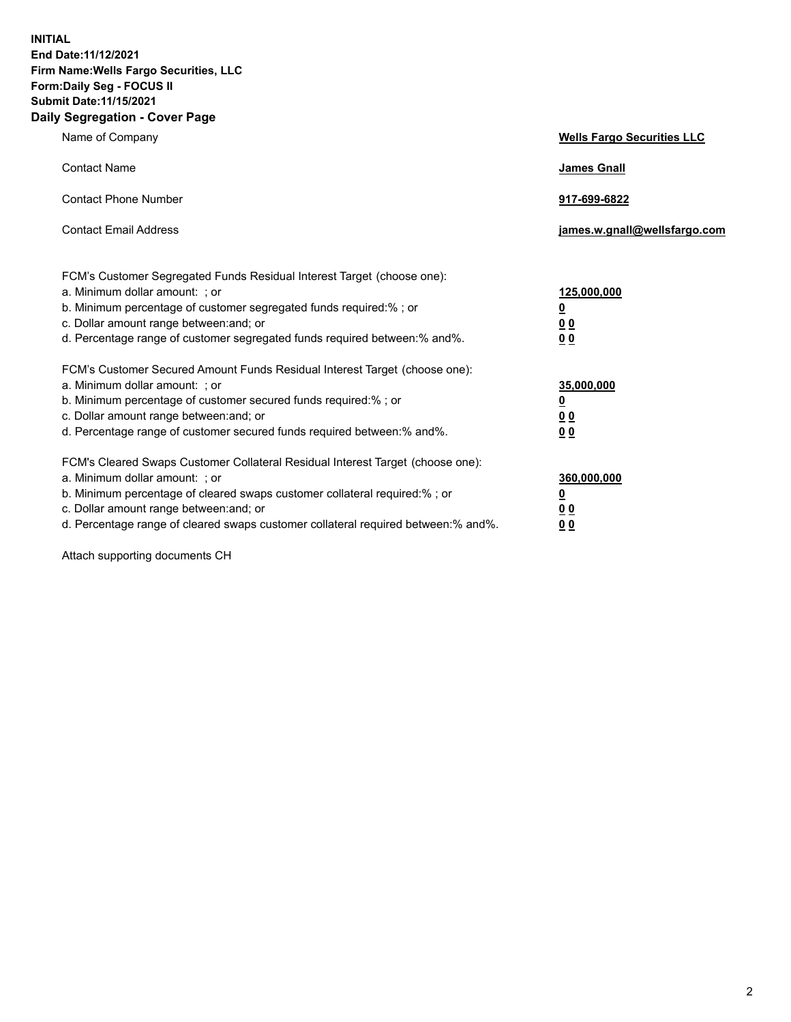**INITIAL End Date:11/12/2021 Firm Name:Wells Fargo Securities, LLC Form:Daily Seg - FOCUS II Submit Date:11/15/2021 Daily Segregation - Cover Page**

| Name of Company                                                                                                                                                                                                                                                                                                               | <b>Wells Fargo Securities LLC</b>                          |
|-------------------------------------------------------------------------------------------------------------------------------------------------------------------------------------------------------------------------------------------------------------------------------------------------------------------------------|------------------------------------------------------------|
| <b>Contact Name</b>                                                                                                                                                                                                                                                                                                           | <b>James Gnall</b>                                         |
| <b>Contact Phone Number</b>                                                                                                                                                                                                                                                                                                   | 917-699-6822                                               |
| <b>Contact Email Address</b>                                                                                                                                                                                                                                                                                                  | james.w.gnall@wellsfargo.com                               |
| FCM's Customer Segregated Funds Residual Interest Target (choose one):<br>a. Minimum dollar amount: ; or<br>b. Minimum percentage of customer segregated funds required:% ; or<br>c. Dollar amount range between: and; or<br>d. Percentage range of customer segregated funds required between:% and%.                        | 125,000,000<br><u>0</u><br>0 <sub>0</sub><br>00            |
| FCM's Customer Secured Amount Funds Residual Interest Target (choose one):<br>a. Minimum dollar amount: ; or<br>b. Minimum percentage of customer secured funds required:%; or<br>c. Dollar amount range between: and; or<br>d. Percentage range of customer secured funds required between: % and %.                         | 35,000,000<br><u>0</u><br>0 <sub>0</sub><br>0 <sub>0</sub> |
| FCM's Cleared Swaps Customer Collateral Residual Interest Target (choose one):<br>a. Minimum dollar amount: ; or<br>b. Minimum percentage of cleared swaps customer collateral required:%; or<br>c. Dollar amount range between: and; or<br>d. Percentage range of cleared swaps customer collateral required between:% and%. | 360,000,000<br><u>0</u><br>00<br>00                        |

Attach supporting documents CH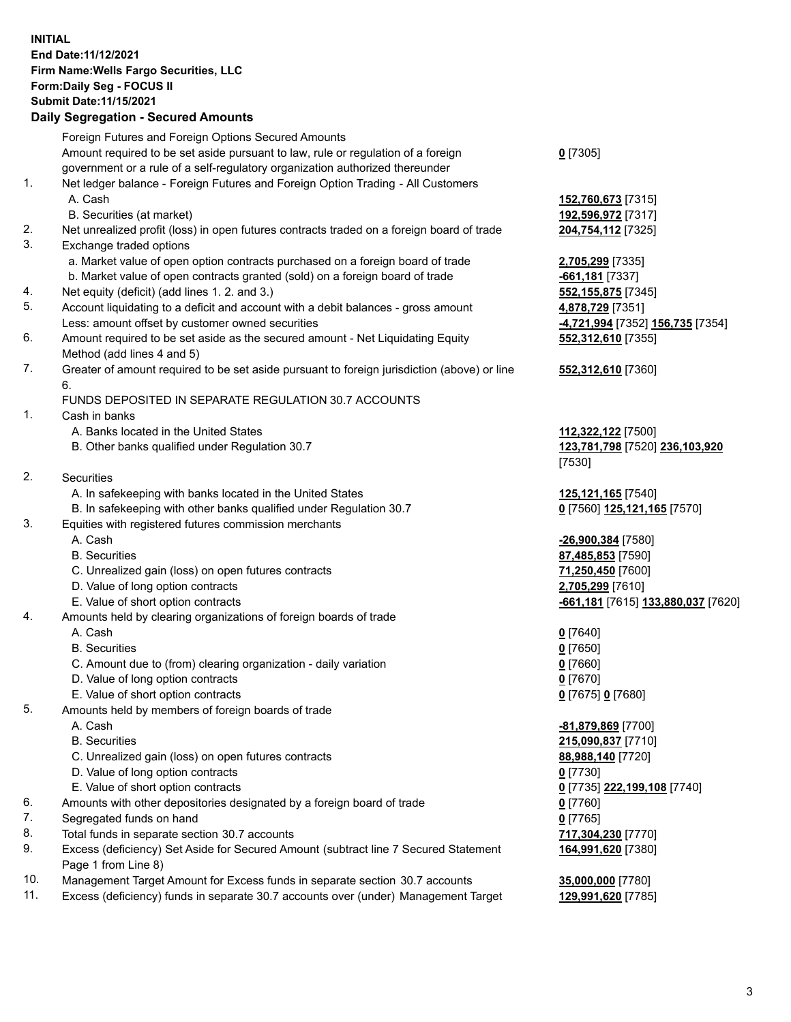## **INITIAL End Date:11/12/2021 Firm Name:Wells Fargo Securities, LLC Form:Daily Seg - FOCUS II Submit Date:11/15/2021**

## **Daily Segregation - Secured Amounts**

|    | Foreign Futures and Foreign Options Secured Amounts                                         |                                                        |
|----|---------------------------------------------------------------------------------------------|--------------------------------------------------------|
|    | Amount required to be set aside pursuant to law, rule or regulation of a foreign            | $0$ [7305]                                             |
|    | government or a rule of a self-regulatory organization authorized thereunder                |                                                        |
| 1. | Net ledger balance - Foreign Futures and Foreign Option Trading - All Customers             |                                                        |
|    | A. Cash                                                                                     | 152,760,673 [7315]                                     |
|    | B. Securities (at market)                                                                   | 192,596,972 [7317]                                     |
| 2. | Net unrealized profit (loss) in open futures contracts traded on a foreign board of trade   | 204,754,112 [7325]                                     |
| 3. | Exchange traded options                                                                     |                                                        |
|    | a. Market value of open option contracts purchased on a foreign board of trade              | 2,705,299 [7335]                                       |
|    | b. Market value of open contracts granted (sold) on a foreign board of trade                | -661,181 [7337]                                        |
| 4. | Net equity (deficit) (add lines 1. 2. and 3.)                                               | 552, 155, 875 [7345]                                   |
| 5. | Account liquidating to a deficit and account with a debit balances - gross amount           | 4,878,729 [7351]                                       |
|    | Less: amount offset by customer owned securities                                            | -4,721,994 [7352] 156,735 [7354]                       |
| 6. | Amount required to be set aside as the secured amount - Net Liquidating Equity              | 552,312,610 [7355]                                     |
|    | Method (add lines 4 and 5)                                                                  |                                                        |
| 7. | Greater of amount required to be set aside pursuant to foreign jurisdiction (above) or line | 552,312,610 [7360]                                     |
|    | 6.                                                                                          |                                                        |
|    | FUNDS DEPOSITED IN SEPARATE REGULATION 30.7 ACCOUNTS                                        |                                                        |
| 1. | Cash in banks                                                                               |                                                        |
|    | A. Banks located in the United States                                                       | 112,322,122 [7500]                                     |
|    | B. Other banks qualified under Regulation 30.7                                              | 123,781,798 [7520] 236,103,920                         |
|    |                                                                                             | [7530]                                                 |
| 2. | <b>Securities</b>                                                                           |                                                        |
|    | A. In safekeeping with banks located in the United States                                   | 125,121,165 [7540]                                     |
|    | B. In safekeeping with other banks qualified under Regulation 30.7                          | 0 [7560] 125,121,165 [7570]                            |
| 3. | Equities with registered futures commission merchants                                       |                                                        |
|    | A. Cash                                                                                     | -26,900,384 [7580]                                     |
|    | <b>B.</b> Securities                                                                        | 87,485,853 [7590]                                      |
|    | C. Unrealized gain (loss) on open futures contracts                                         | 71,250,450 [7600]                                      |
|    | D. Value of long option contracts                                                           | 2,705,299 [7610]                                       |
|    | E. Value of short option contracts                                                          | <mark>-661,181</mark> [7615] <u>133,880,037</u> [7620] |
| 4. | Amounts held by clearing organizations of foreign boards of trade                           |                                                        |
|    | A. Cash                                                                                     | $0$ [7640]                                             |
|    | <b>B.</b> Securities                                                                        | $0$ [7650]                                             |
|    | C. Amount due to (from) clearing organization - daily variation                             | $0$ [7660]                                             |
|    | D. Value of long option contracts                                                           | $0$ [7670]                                             |
|    | E. Value of short option contracts                                                          | 0 [7675] 0 [7680]                                      |
| 5. | Amounts held by members of foreign boards of trade                                          |                                                        |
|    | A. Cash                                                                                     | -81,879,869 [7700]                                     |
|    | <b>B.</b> Securities                                                                        | 215,090,837 [7710]                                     |
|    | C. Unrealized gain (loss) on open futures contracts                                         | 88,988,140 [7720]                                      |
|    | D. Value of long option contracts                                                           | $0$ [7730]                                             |
|    | E. Value of short option contracts                                                          | 0 [7735] 222,199,108 [7740]                            |
| 6. | Amounts with other depositories designated by a foreign board of trade                      | $0$ [7760]                                             |
| 7. | Segregated funds on hand                                                                    | $0$ [7765]                                             |
| 8. | Total funds in separate section 30.7 accounts                                               | 717,304,230 [7770]                                     |
| 9. | Excess (deficiency) Set Aside for Secured Amount (subtract line 7 Secured Statement         | 164,991,620 [7380]                                     |
|    | Page 1 from Line 8)                                                                         |                                                        |

- 10. Management Target Amount for Excess funds in separate section 30.7 accounts **35,000,000** [7780]
- 11. Excess (deficiency) funds in separate 30.7 accounts over (under) Management Target **129,991,620** [7785]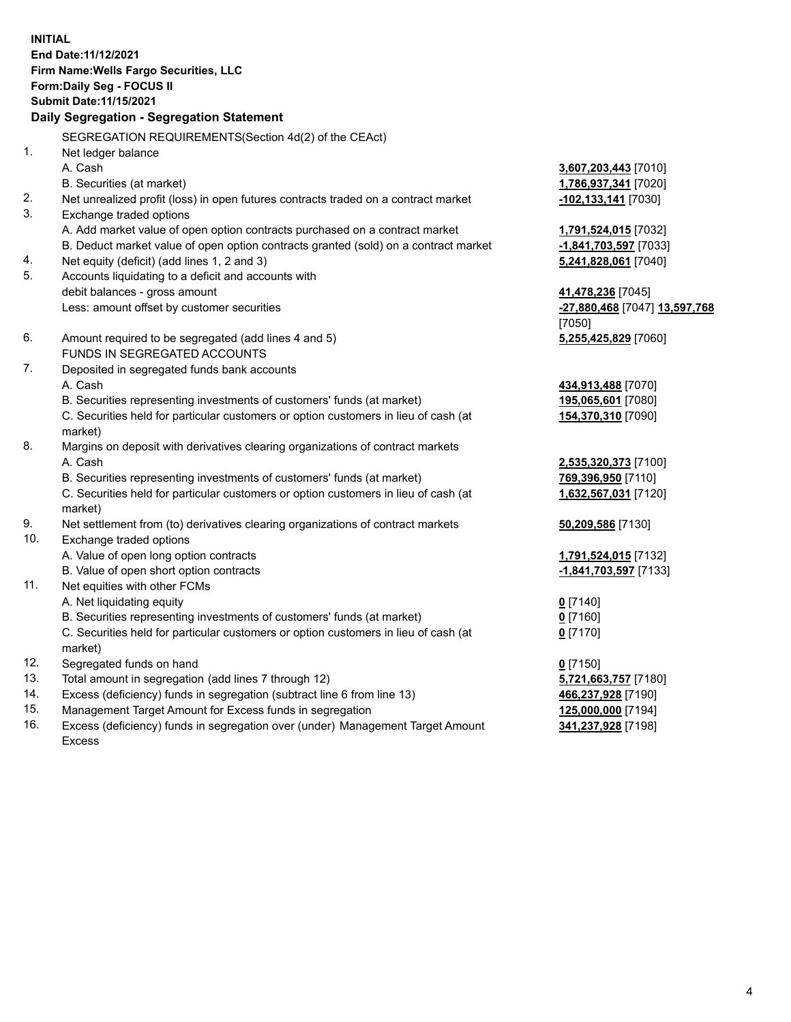**INITIAL End Date:11/12/2021 Firm Name:Wells Fargo Securities, LLC Form:Daily Seg - FOCUS II Submit Date:11/15/2021 Daily Segregation - Segregation Statement** SEGREGATION REQUIREMENTS(Section 4d(2) of the CEAct)

1. Net ledger balance A. Cash **3,607,203,443** [7010] B. Securities (at market) **1,786,937,341** [7020] 2. Net unrealized profit (loss) in open futures contracts traded on a contract market **-102,133,141** [7030] 3. Exchange traded options A. Add market value of open option contracts purchased on a contract market **1,791,524,015** [7032] B. Deduct market value of open option contracts granted (sold) on a contract market **-1,841,703,597** [7033] 4. Net equity (deficit) (add lines 1, 2 and 3) **5,241,828,061** [7040] 5. Accounts liquidating to a deficit and accounts with debit balances - gross amount **41,478,236** [7045] Less: amount offset by customer securities **-27,880,468** [7047] **13,597,768** [7050] 6. Amount required to be segregated (add lines 4 and 5) **5,255,425,829** [7060] FUNDS IN SEGREGATED ACCOUNTS 7. Deposited in segregated funds bank accounts A. Cash **434,913,488** [7070] B. Securities representing investments of customers' funds (at market) **195,065,601** [7080] C. Securities held for particular customers or option customers in lieu of cash (at market) **154,370,310** [7090] 8. Margins on deposit with derivatives clearing organizations of contract markets A. Cash **2,535,320,373** [7100] B. Securities representing investments of customers' funds (at market) **769,396,950** [7110] C. Securities held for particular customers or option customers in lieu of cash (at market) **1,632,567,031** [7120] 9. Net settlement from (to) derivatives clearing organizations of contract markets **50,209,586** [7130] 10. Exchange traded options A. Value of open long option contracts **1,791,524,015** [7132] B. Value of open short option contracts **-1,841,703,597** [7133] 11. Net equities with other FCMs A. Net liquidating equity **0** [7140] B. Securities representing investments of customers' funds (at market) **0** [7160] C. Securities held for particular customers or option customers in lieu of cash (at market) **0** [7170] 12. Segregated funds on hand **0** [7150] 13. Total amount in segregation (add lines 7 through 12) **5,721,663,757** [7180] 14. Excess (deficiency) funds in segregation (subtract line 6 from line 13) **466,237,928** [7190] 15. Management Target Amount for Excess funds in segregation **125,000,000** [7194] 16. Excess (deficiency) funds in segregation over (under) Management Target Amount Excess **341,237,928** [7198]